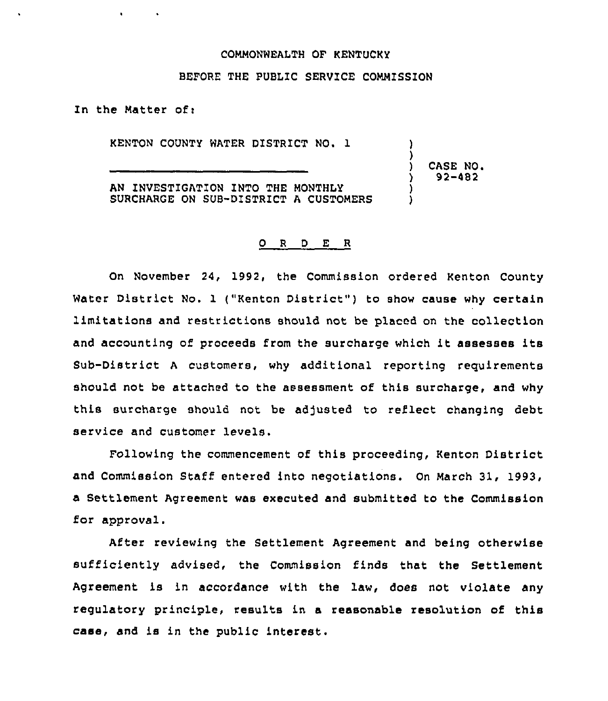#### COMMONWEALTH OF KENTUCKY

## BEFORE THE PUBLIC SERVICE COMMISSION

In the Matter of:

 $\sim$  100  $\pm$ 

KENTON COUNTY WATER DISTRICT NO. 1

AN INVESTIGATION INTO THE MONTHLY SURCHARGE ON SUB-DISTRICT A CUSTOMERS ) CASE NO. ) 92-482

)

J.

) )

## 0 <sup>R</sup> <sup>D</sup> E R

On November 24, 1992, the Commission ordered Kenton County Water District No. 1 ("Kenton District") to show cause why certain limitations and restrictions should not be placed on the collection and accounting of proceeds from the surcharge which it assesses its Sub-District <sup>A</sup> customers, why additional reporting requirements should not be attached to the assessment of this surcharge, and why this surcharge should not be adjusted to reflect changing debt service and customer levels.

Following the commencement of this proceeding, Kenton District and Commission Staff entered into negotiations. On March 31, 1993, a Settlement Agreement was executed and submitted to the Commission for approval.

After reviewing the Settlement Agreement and being otherwise sufficiently advised, the Commission finds that the Settlement Agreement is in accordance with the law, does not violate any regulatory principle, results in a reasonable resolution of this case, and is in the public interest.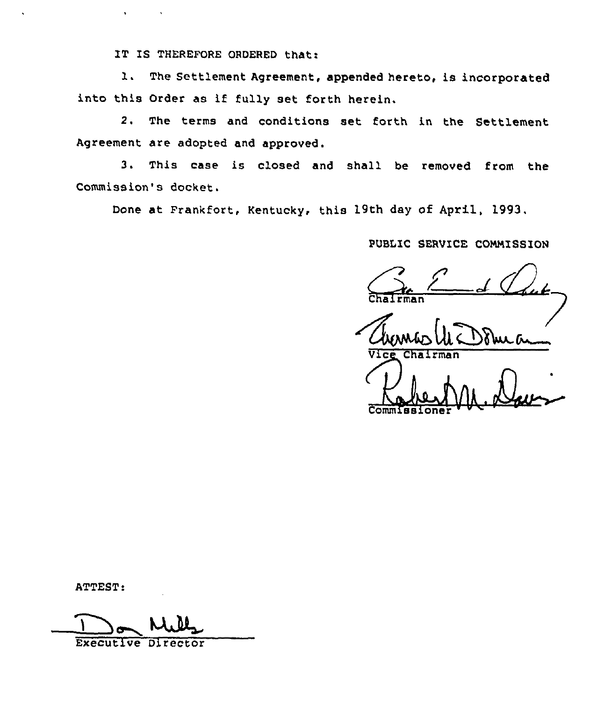IT IS THEREFORE ORDERED that:

 $\mathbf{v} = \left\{ \begin{array}{ll} 0 & \text{if} \ \mathbf{v} = \mathbf{v} \end{array} \right.$ 

l. The Settlement Agreement, appended hereto, is incorporated into this Order as if fully set forth herein.

2. The terms and conditions set forth in the Settlement Agreement are adopted and approved.

3. This case is closed and shall be removed from the Commission's docket.

Done at Frankfort, Kentucky, this 19th day of April, 1993,

PUBLIC SERVICE COMMISSION

 $C_{\mu}$   $\mu$ Chairman

Chairman

Commissioner '

ATTEST:

Executive Direct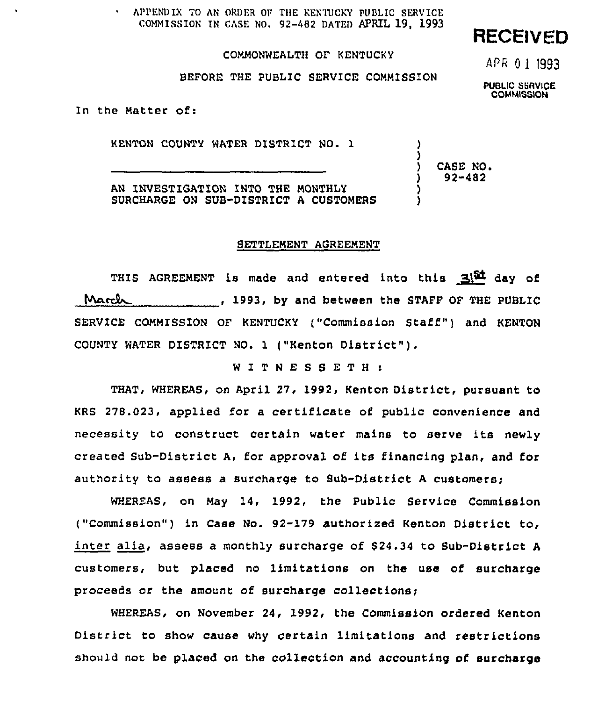. APPENDIX TO AN ORDER OF THE KENTUCKY PUBLIC SERVICE COMMISSION IN CASE NO. 92-482 DhTED APRIL 19, 1993

### COMMONWEALTH OP KENTUCKY

BEFORE THE PUBLIC SERVICE COMMISSION

In the Matter of:

KENTON COUNTY WATER DISTRICT NO. 1

AN INVESTIGATION INTO THE MONTHLY SURCHARGE ON SUB-DISTRICT A CUSTOMERS

#### SETTLEMENT AGREEMENT

THIS AGREEMENT is made and entered into this  $-$ S( $^{22}$  day of March 1993, by and between the STAFF OF THE PUBLIC SERVICE COMMISSION OF KENTUCKY ("Commission Staff") and KENTON COUNTY WATER DISTRICT NO. <sup>1</sup> ("Kenton District" ).

WITNESSETH:

THAT, WHEREAS, on April 27< 1992, Kenton District, pursuant to KRS 278.023, applied for <sup>a</sup> certificate of public convenience and necessity to construct certain water mains to serve its newly created Sub-District A, for approval of its financing plan, and for authority to assess a surcharge to Sub-District <sup>A</sup> customers;

WHEREAS, on May 14, 1992, the public Service Commission ("Commission") in Case No. 92-179 authorized Kenton District to, inter alia, assess a monthly surcharge of \$24.34 to Sub-District A customers, but placed no limitations on the use of surcharge proceeds or the amount of surcharge collections;

WHEREAS, on November 24, 1992, the Commission ordered Kenton District to show cause why certain limitations and restrictions should not be placed on the collection and accounting of surcharge

# RECE)VED

APR <sup>0</sup> l 1993

PUBLIC SERVICE **COMMISSION** 

) CASE NO. ) 92-482

) )

) )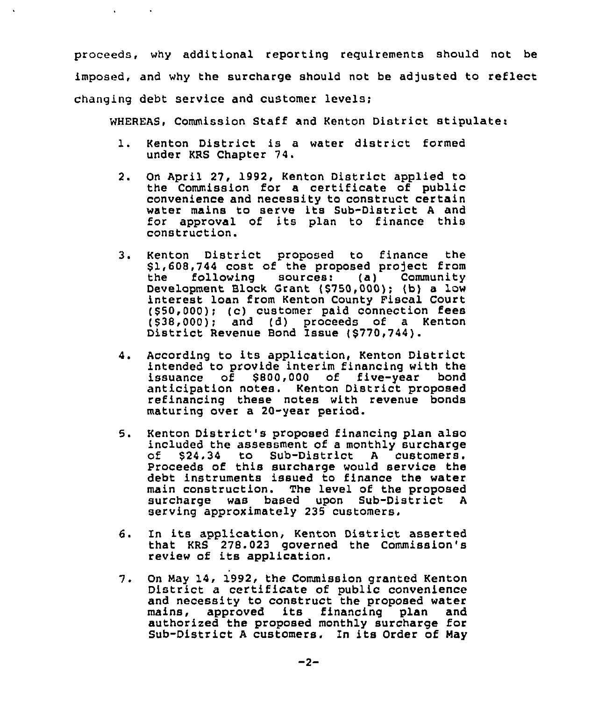proceeds, why additional reporting requirements should not be imposed, and why the surcharge should not be adjusted to reflect changing debt service and customer levels;

 $\mathbf{r}$ 

WHEREAS, Commission Staff and Kenton District stipulate:

- Kenton District is a water district formed  $1.$ under KRS Chapter 74.
- $2.$ On April 27, 1992, Kenton District applied to the Commission for a certificate of public convenience and necessity to construct certain water mains to serve its Sub-District <sup>A</sup> and for approval of its plan to finance this construction.
- Kenton District proposed to finance the  $3.$ \$1,608,744 cost of the proposed project from<br>the following sources: (a) Community the following sources: (a) Communit Development Block Grant (\$750,000); (b) a low interest loan from Kenton County Fiscal Court (\$50,000); (c) customer paid connection fees (\$38,000); and (d) proceeds of a Kenton District Revenue Bond Issue (\$770,744).
- According to its application, Kenton District  $4.1$ intended to provide interim financing with the<br>issuance of \$800,000 of five-vear bond issuance of  $$800,000$  of five-year anticipation notes. Kenton District proposed refinancing these notes with revenue bonds maturing over a 20-year period.
- Kenton District's proposed financing plan also  $5.$ included the assessment of a monthly surcharge<br>of \$24.34 to Sub-District A customers. S24.34 to Sub-District A customers. Proceeds of this surcharge would service the debt instruments issued to finance the water main construction. The level of the proposed surcharge was based upon Sub-District <sup>A</sup> serving approximately 235 customers.
- 6. In its application, Kenton District asserted that KRS 278.023 governed the Commission's review of its application.
- $7.$ On May 14, 1992, the Commission granted Kenton District <sup>a</sup> certificate of public convenience and necessity to construct the proposed water<br>mains, approved its financing plan and mains, approved its financing plan authorized the proposed monthly surcharge for Sub-District <sup>A</sup> customers. In its Order of Nay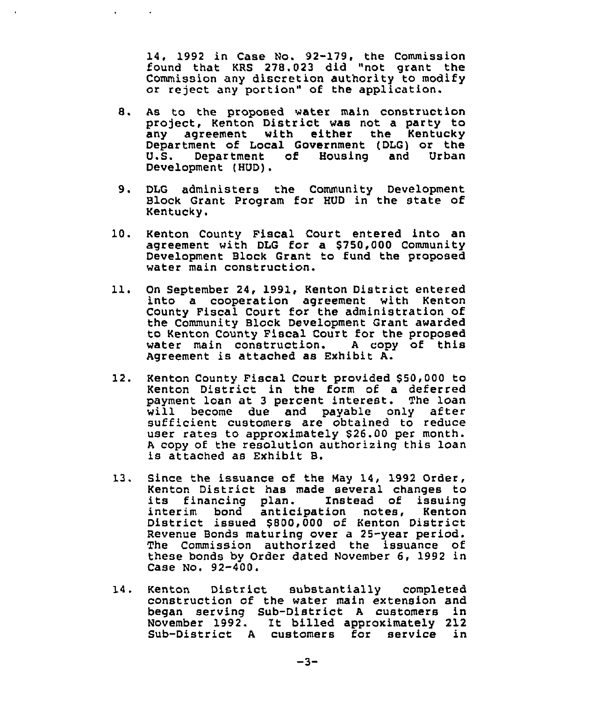14, 1992 in Case No. 92-179, the Commission found that KRS 278.023 did "not grant the Commission any discretion authority to modify or reject any portion" of the application.

- 8. As to the proposed water main construction project, Kenton District was not a party to any agreement with either the Kentucky Department of Local Government (DLG) or the<br>U.S. Department of Housing and Urban Department of Housing and Development (HUD).
- 9. DLG administers the Community Development Block Grant Program for HUD in the state of Kentucky.
- 10. Kenton County Fiscal Court entered into an agreement with DLG for a \$750,000 Community Development Block Grant to fund the proposed water main construction.
- 11. On September 24, 1991, Kenton District entered into a cooperation agreement with Kenton County Fiscal Court for the administration of the Community Block Development Grant awarded to Kenton County Fiscal Court for the proposed water main construction. <sup>A</sup> copy of this Agreement is attached as Exhibit A.
- 12. Kenton County Fiscal Court provided \$50,000 to Kenton District in the form of a deferred payment loan at 3 percent interest. The loan will become due and payable only after sufficient customers are obtained to reduce user rates to approximately \$26.00 per month. <sup>A</sup> copy of the resolution authorizing this loan is attached as Exhibit B.
- 13. Since the issuance of the Nay 14, 1992 Order, Kenton District has made several changes to<br>its financing plan. Instead of issuing<br>interim bond anticipation notes, Kenton District issued \$ 800,000 of Kenton District Revenue Bonds maturing over a 25-year period. The Commission authorized the issuance of these bonds by Order dated November 6, 1992 in Case No. 92-400.
- 14. Kenton District substantially completed construction of the water main extension and began serving Sub-District <sup>A</sup> customers in November 1992. It billed approximately 212 Sub-District <sup>A</sup> customers for service in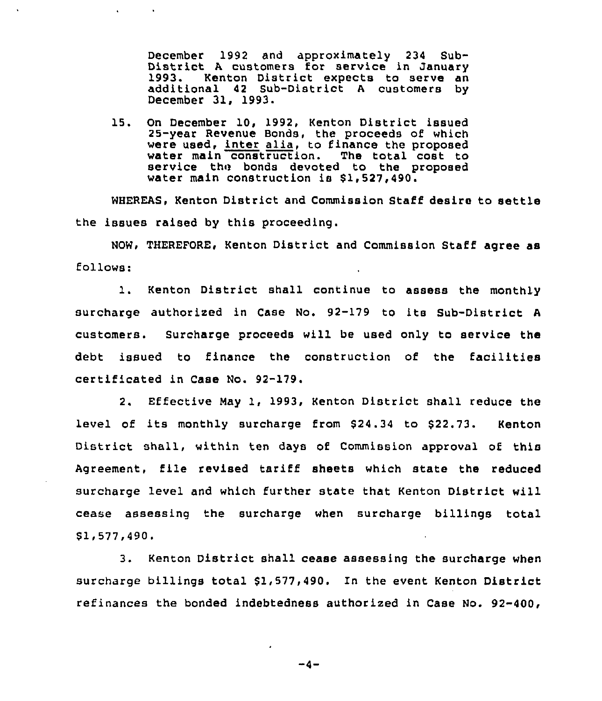December 1992 and approximately 234 Sub-District <sup>A</sup> customers for service in January 1993. Kenton District expects to serve an 1993. Kenton District expects to serve an additional 42 Sub-District A customers by December 31, 1993.

15. On December 10, 1992, Kenton District issued 25-year Revenue Bonds, the proceeds of which were used, inter alia, to finance the proposed<br>water main construction. The total cost to service the bonds devoted to the proposed water main construction is  $$1,527,490.$ 

WHEREAS, Kenton District and Commission Staff desire to settle the issues raised by this proceeding.

NOW, THEREFORE, Kenton District and Commission Staff agree as follows:

1. Kenton District shall continue to assess the monthly surcharge authorized in Case No. 92-179 to its Sub-District <sup>A</sup> customers. Surcharge proceeds will be used only to service the debt issued to finance the construction of the facilities certificated in Case No. 92-179.

2. Effective May 1, 1993, Kenton District shall reduce the level of its monthly surcharge from \$24.34 to \$22.73. Kenton District shall, within ten days of Commission approval of this Agreement, file revised tariff sheets which state the reduced surcharge level and which further state that Kenton District will cease assessing the surcharge when surcharge billings total \$1,577,490.

3. Kenton District shall cease assessing the surcharge when surcharge billings total \$1,577,490. In the event Kenton District refinances the bonded indebtedness authorized in Case No. 92-400,

 $-4-$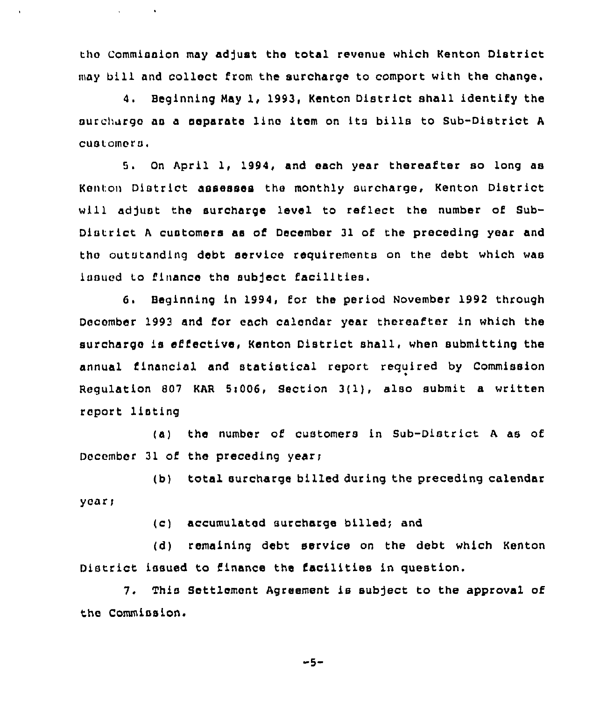tho commission may adjust the total revenue which Kenton District may bill and collect from the surcharge to comport with the change.

 $\mathbf{q} = \mathbf{q} \times \mathbf{q}$  , where  $\mathbf{q}$ 

4. Beginning May 1, 1993, Kenton District shall identify the surchurgo as <sup>a</sup> separate line item on its bills to Sub-District <sup>A</sup> cuatomers.

5. On April 1, 1994, and each year thereafter so long as Kenton District assesses the monthly surcharge, Kenton District will adjust the surcharge level to reflect the number of Sub-District <sup>A</sup> customers as of December 31 of the preceding year and tho outstanding debt service requirements on the debt which was issued to finance the subject facilities.

6. Beginning in 1994, for the period November 1992 through December 1993 and Cor each calendar year thereafter in which the surcharge is eifective, Kenton District shall, when submitting the annual Cinancial and statistical report required by Commission Regulation <sup>807</sup> KAR 5i006, Section 3{1), also submit a written report listing

(a) the number of customers in Sub-District <sup>A</sup> as of December 31 of the preceding year;

(b) total surcharge billed during the preceding calendar year;

(c) accumulated surcharge billed; and

(d) remaining debt service on the debt which Kenton District issued to finance the Cacilities in question.

7. This Settlement Agreement is subject to the approval of the commission.

 $-5-$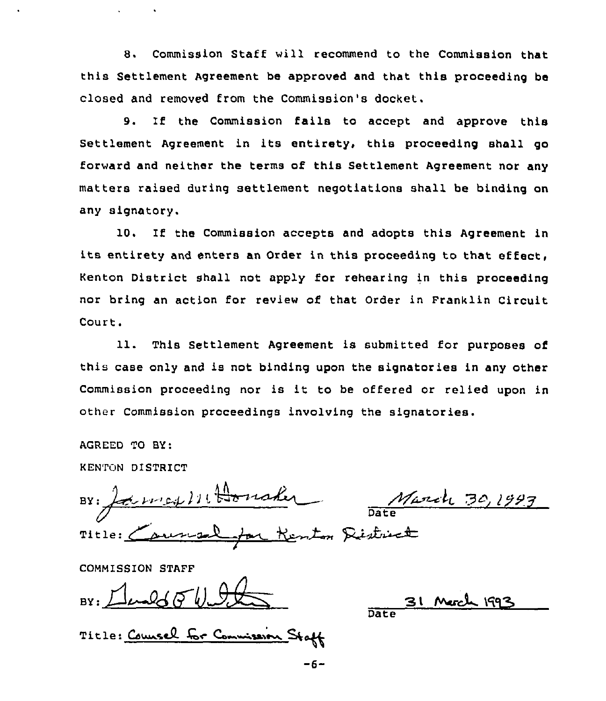a. Commission Staff will recommend to the Commission that this Settlement Agreement be approved and that this proceeding be closed and removed from the Commission's docket.

9. If the Commission fails to accept and approve this Settlement Agreement in its entirety, this proceeding shall go forward and neither the terms of this Settlement Agreement nor any matters raised during settlement negotiations shall be binding on any signatory.

10. If the Commission accepts and adopts this Agreement in its entirety and enters an Order in this proceeding to that effect, Kenton District shall not apply for rehearing in this proceeding nor bring an action for review of that Order in Franklin Circuit Court.

11. This Settlement Agreement is submitted for purposes of this case only and is not binding upon the signatories in any other Commission proceeding nor is it to be offered or relied upon in other Commission proceedings involving the signatories.

 $-6-$ 

AGREED TO BY:

KENTON DISTRICT

 $\tau$ BY: Larrey 11 Honsher<br>BY: Larrey 11 Honsher<br>Title: Counsel for Kenton District

COMMISSION STAFF

 $B_Y: L$ umbb $(S|l)$ 

Title: Counsel For Commission St.

**Date** <u>31</u> ~<br><u>Merch</u> <u>193</u>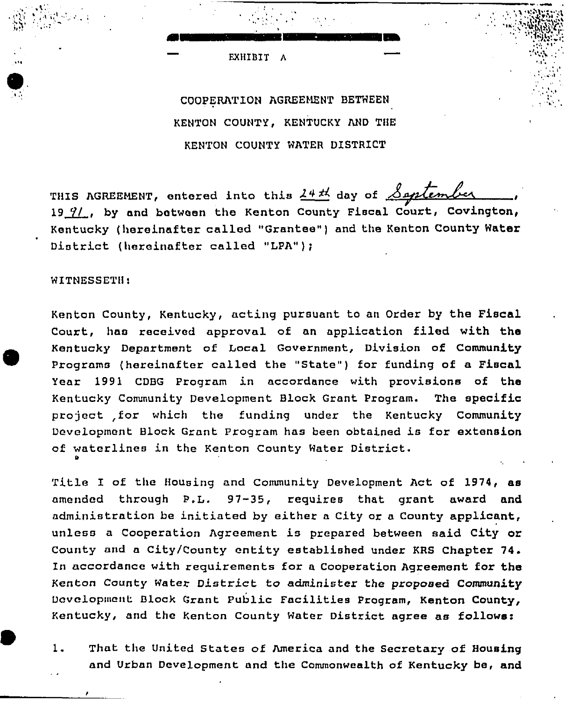

COOPERATION AGREEMENT BETWEEN KENTON COUNTY, KENTUCKY AND THE KENTON COUNTY WATER DISTRICT

THIS AGREEMENT, entered into this  $24\frac{H}{V}$  day of September 19 $9/$ , by and between the Kenton County Fiscal Court, Covington, Kentucky (hereinafter called "Grantee" ) and the Kenton County Water District (hereinafter called "LPA");

# WITNESSETH:

Kenton County, Kentucky, acting pursuant to an Order by the Fiscal Court, has received approval of an application filed with the Kentucky Department of Local Government, Division of Community Programs (hereinafter called the "State") for funding of a Fiscal Year 1991 CDBG Program in accordance with provisions of the Kentucky Community Development Block Grant Pxogram. The specific pxoject, for which the funding under the Kentucky Community Development Block Grant Program has been obtained is for extension of waterlines in the Kenton County Water District.

Title I of the Housing and Community Development Act of 1974, as amended through P.L. 97-35, xequixes that grant award and administration be initiated by either a City or a County applicant, unless a Cooperation Agreement is prepared between said City or County and a City/County entity established under KRS Chapter 74. In accordance with requirements for a Cooperation Agreement for the Kenton County Water District to administer the proposed Community Development Block Grant Public Facilities Program, Kenton County, Kentucky, and the Kenton County Water District agree as follows:

1. That the United States of America and the Secretary of Housing and Uxban Development and the Commonwealth of Kentucky be, and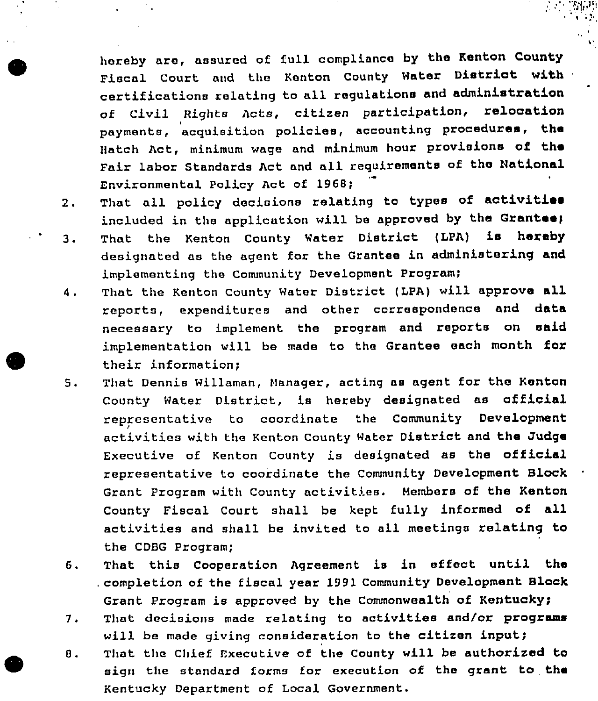hereby are, assured of full compliance by the Kenton County Fiscal Court and the Kenton County Water District with certifications relating to all regulations and administration<br>of Civil, Pichts, Acts, citizen participation, relocation of Civil Rights Acts, citizen participation, payments, acquisition policies, accounting procedures, ths Batch Act, minimum wage and minimum hour provisions of ths Fair labor Standards Act and all requirements of the National Environmental Policy Act of 1968;

That all policy decisions relating to types of activities

 $2.$ 

included in the application will be approved by the Grantee; That the Kenton County Water District (LPA) is hereby  $3.$ designated as the agent for the Grantee in administering and implementing the Community Development Program;

- That the Kenton County Water District (LPA) will approve all  $\overline{4}$ . reports, expenditures and other correspondence and data necessary to implement the program and reports on said implementation will be made to the Grantee each month for their information;
- That Dennis Willaman, Manager, acting as agent for the Kenton  $5.$ County Water District, is hereby designated as official representative to coordinate the Community Development activities with the Kenton County Hater District and the Judge Executive of Kenton County is designated as the official xepresentative to coordinate the Community Development Block Grant Program with County activities. Members of the Kenton County Fiscal Court shall be kept fully informed of all activities and shall be invited to all meetings relating to the CDBG Program;
- That this Cooperation Agreement is in effect until the  $6.$ . completion of the fiscal year 1991 Community Development Block Grant Program is approved by the Commonwealth of Kentucky;
- That decisions made relating to activities and/or programs  $7.$ will be made giving consideration to the citizen input;
- That the Chief Executive of the County will be authorized to  $\bf{8}$ . sign the standard forms for execution of the grant to the Kentucky Department of Local Government.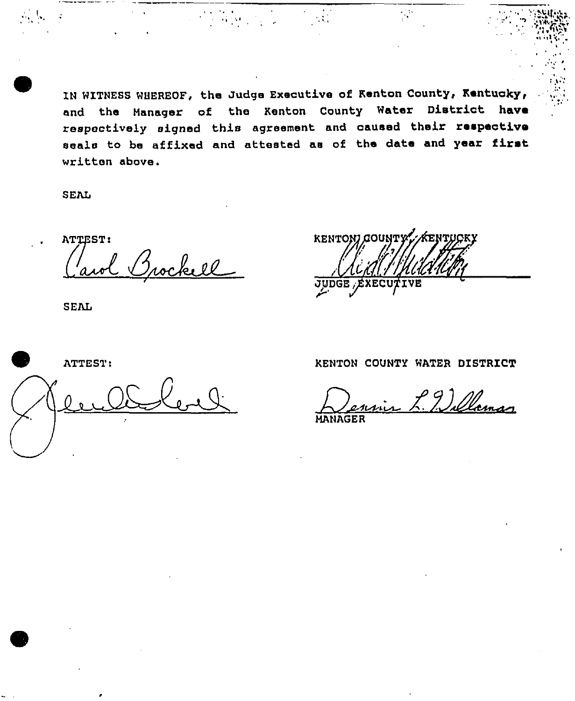IN WITNESS WHEREOF, the Judge Executive of Kenton County, Kentucky, and the Manager of the Kenton County Water District have respectively signed this agresmsnt and caused their respective seals to be affixed and attested as of the date and year first written above.

 $\mathcal{L}(\mathcal{L})$ 

 $\mathcal{L} = \mathcal{L} \left( \mathbf{X} \right)$ 

SEAL<br>ATTEST:<br>Carol Brockell

SEAL

**KENTON GOUNT** JUDGE, EXECUTIVI

ATTEST: THE REAL PROPERTY WATER DISTRICT

r L. Willaman